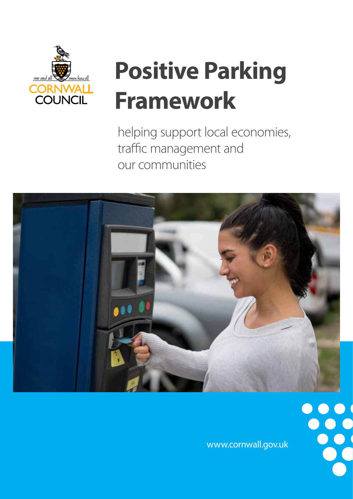

## **Positive Parking Framework**

helping support local economies, traffic management and our communities





www.cornwall.gov.uk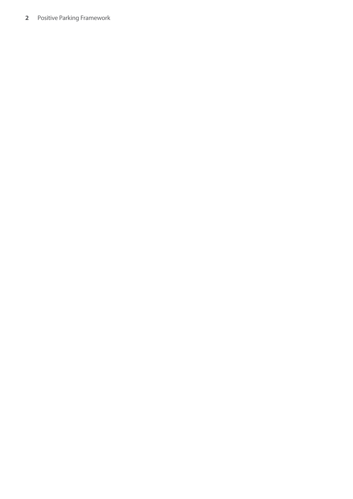#### Positive Parking Framework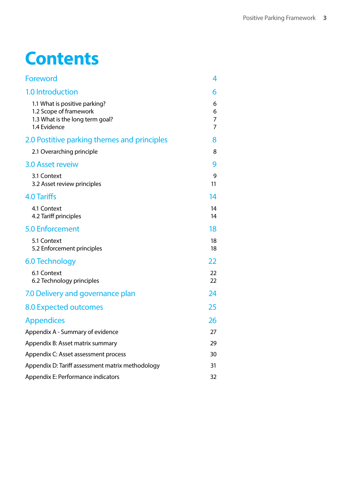## **Contents**

| Foreword                                                                                                   | 4                |
|------------------------------------------------------------------------------------------------------------|------------------|
| 1.0 Introduction                                                                                           | 6                |
| 1.1 What is positive parking?<br>1.2 Scope of framework<br>1.3 What is the long term goal?<br>1.4 Evidence | 6<br>6<br>7<br>7 |
| 2.0 Postitive parking themes and principles                                                                | 8                |
| 2.1 Overarching principle                                                                                  | 8                |
| 3.0 Asset reveiw                                                                                           | 9                |
| 3.1 Context<br>3.2 Asset review principles                                                                 | 9<br>11          |
| <b>4.0 Tariffs</b>                                                                                         | 14               |
| 4.1 Context<br>4.2 Tariff principles                                                                       | 14<br>14         |
| 5.0 Enforcement                                                                                            | 18               |
| 5.1 Context<br>5.2 Enforcement principles                                                                  | 18<br>18         |
| 6.0 Technology                                                                                             | 22               |
| 6.1 Context<br>6.2 Technology principles                                                                   | 22<br>22         |
| 7.0 Delivery and governance plan                                                                           | 24               |
| 8.0 Expected outcomes                                                                                      | 25               |
| <b>Appendices</b>                                                                                          | 26               |
| Appendix A - Summary of evidence                                                                           | 27               |
| Appendix B: Asset matrix summary                                                                           | 29               |
| Appendix C: Asset assessment process                                                                       | 30               |
| Appendix D: Tariff assessment matrix methodology                                                           | 31               |
| Appendix E: Performance indicators                                                                         | 32               |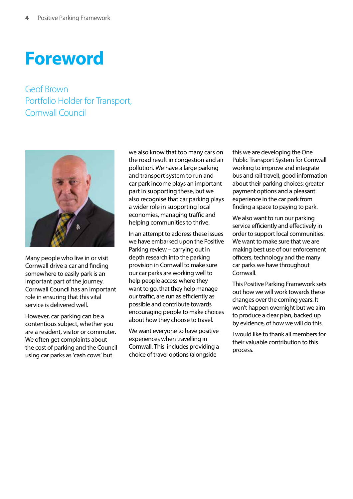## **Foreword**

Geof Brown Portfolio Holder for Transport, Cornwall Council



Many people who live in or visit Cornwall drive a car and finding somewhere to easily park is an important part of the journey. Cornwall Council has an important role in ensuring that this vital service is delivered well.

However, car parking can be a contentious subject, whether you are a resident, visitor or commuter. We often get complaints about the cost of parking and the Council using car parks as 'cash cows' but

we also know that too many cars on the road result in congestion and air pollution. We have a large parking and transport system to run and car park income plays an important part in supporting these, but we also recognise that car parking plays a wider role in supporting local economies, managing traffic and helping communities to thrive.

In an attempt to address these issues we have embarked upon the Positive Parking review – carrying out in depth research into the parking provision in Cornwall to make sure our car parks are working well to help people access where they want to go, that they help manage our traffic, are run as efficiently as possible and contribute towards encouraging people to make choices about how they choose to travel.

We want everyone to have positive experiences when travelling in Cornwall. This includes providing a choice of travel options (alongside

this we are developing the One Public Transport System for Cornwall working to improve and integrate bus and rail travel); good information about their parking choices; greater payment options and a pleasant experience in the car park from finding a space to paying to park.

We also want to run our parking service efficiently and effectively in order to support local communities. We want to make sure that we are making best use of our enforcement officers, technology and the many car parks we have throughout Cornwall.

This Positive Parking Framework sets out how we will work towards these changes over the coming years. It won't happen overnight but we aim to produce a clear plan, backed up by evidence, of how we will do this.

I would like to thank all members for their valuable contribution to this process.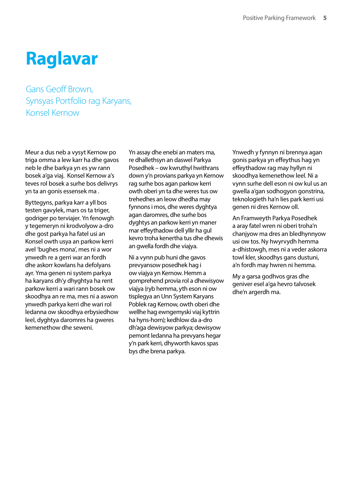## **Raglavar**

Gans Geoff Brown, Synsyas Portfolio rag Karyans, Konsel Kernow

Meur a dus neb a vysyt Kernow po triga omma a lew karr ha dhe gavos neb le dhe barkya yn es yw rann bosek a'ga viaj. Konsel Kernow a's teves rol bosek a surhe bos delivrys yn ta an gonis essensek ma .

Byttegyns, parkya karr a yll bos testen gavylek, mars os ta triger, godriger po terviajer. Yn fenowgh y tegemeryn ni krodvolyow a-dro dhe gost parkya ha fatel usi an Konsel owth usya an parkow kerri avel 'bughes mona', mes ni a wor ynwedh re a gerri war an fordh dhe askorr kowlans ha defolyans ayr. Yma genen ni system parkya ha karyans dh'y dhyghtya ha rent parkow kerri a wari rann bosek ow skoodhya an re ma, mes ni a aswon ynwedh parkya kerri dhe wari rol ledanna ow skoodhya erbysiedhow leel, dyghtya daromres ha gweres kemenethow dhe seweni.

Yn assay dhe enebi an maters ma, re dhallethsyn an daswel Parkya Posedhek – ow kwruthyl hwithrans down y'n provians parkya yn Kernow rag surhe bos agan parkow kerri owth oberi yn ta dhe weres tus ow trehedhes an leow dhedha may fynnons i mos, dhe weres dyghtya agan daromres, dhe surhe bos dyghtys an parkow kerri yn maner mar effeythadow dell yllir ha gul kevro troha kenertha tus dhe dhewis an gwella fordh dhe viajya.

Ni a vynn pub huni dhe gavos prevyansow posedhek hag i ow viajya yn Kernow. Hemm a gomprehend provia rol a dhewisyow viajya (ryb hemma, yth eson ni ow tisplegya an Unn System Karyans Poblek rag Kernow, owth oberi dhe wellhe hag ewngemyski viaj kyttrin ha hyns-horn); kedhlow da a-dro dh'aga dewisyow parkya; dewisyow pemont ledanna ha prevyans hegar y'n park kerri, dhyworth kavos spas bys dhe brena parkya.

Ynwedh y fynnyn ni brennya agan gonis parkya yn effeythus hag yn effeythadow rag may hyllyn ni skoodhya kemenethow leel. Ni a vynn surhe dell eson ni ow kul us an gwella a'gan sodhogyon gonstrina, teknologieth ha'n lies park kerri usi genen ni dres Kernow oll.

An Framweyth Parkya Posedhek a aray fatel wren ni oberi troha'n chanjyow ma dres an bledhynnyow usi ow tos. Ny hwyrvydh hemma a-dhistowgh, mes ni a veder askorra towl kler, skoodhys gans dustuni, a'n fordh may hwren ni hemma.

My a garsa godhvos gras dhe geniver esel a'ga hevro talvosek dhe'n argerdh ma.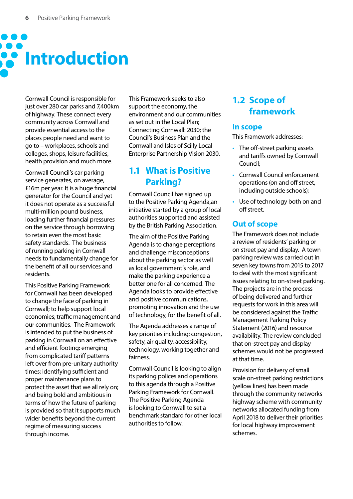

Cornwall Council is responsible for just over 280 car parks and 7,400km of highway. These connect every community across Cornwall and provide essential access to the places people need and want to go to – workplaces, schools and colleges, shops, leisure facilities, health provision and much more.

Cornwall Council's car parking service generates, on average, £16m per year. It is a huge financial generator for the Council and yet it does not operate as a successful multi-million pound business, loading further financial pressures on the service through borrowing to retain even the most basic safety standards. The business of running parking in Cornwall needs to fundamentally change for the benefit of all our services and residents.

This Positive Parking Framework for Cornwall has been developed to change the face of parking in Cornwall; to help support local economies; traffic management and our communities. The Framework is intended to put the business of parking in Cornwall on an effective and efficient footing: emerging from complicated tariff patterns left over from pre-unitary authority times; identifying sufficient and proper maintenance plans to protect the asset that we all rely on; and being bold and ambitious in terms of how the future of parking is provided so that it supports much wider benefits beyond the current regime of measuring success through income.

This Framework seeks to also support the economy, the environment and our communities as set out in the Local Plan; Connecting Cornwall: 2030; the Council's Business Plan and the Cornwall and Isles of Scilly Local Enterprise Partnership Vision 2030.

#### **1.1 What is Positive Parking?**

Cornwall Council has signed up to the Positive Parking Agenda,an initiative started by a group of local authorities supported and assisted by the British Parking Association.

The aim of the Positive Parking Agenda is to change perceptions and challenge misconceptions about the parking sector as well as local government's role, and make the parking experience a better one for all concerned. The Agenda looks to provide effective and positive communications, promoting innovation and the use of technology, for the benefit of all.

The Agenda addresses a range of key priorities including: congestion, safety, air quality, accessibility, technology, working together and fairness.

Cornwall Council is looking to align its parking polices and operations to this agenda through a Positive Parking Framework for Cornwall. The Positive Parking Agenda is looking to Cornwall to set a benchmark standard for other local authorities to follow.

#### **1.2 Scope of framework**

#### **In scope**

This Framework addresses:

- The off-street parking assets and tariffs owned by Cornwall Council;
- Cornwall Council enforcement operations (on and off street, including outside schools);
- Use of technology both on and off street.

#### **Out of scope**

The Framework does not include a review of residents' parking or on street pay and display. A town parking review was carried out in seven key towns from 2015 to 2017 to deal with the most significant issues relating to on-street parking. The projects are in the process of being delivered and further requests for work in this area will be considered against the Traffic Management Parking Policy Statement (2016) and resource availability. The review concluded that on-street pay and display schemes would not be progressed at that time.

Provision for delivery of small scale on-street parking restrictions (yellow lines) has been made through the community networks highway scheme with community networks allocated funding from April 2018 to deliver their priorities for local highway improvement schemes.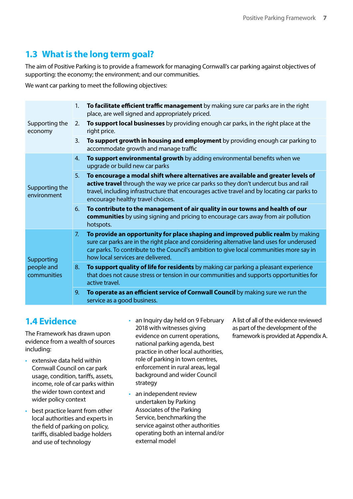#### **1.3 What is the long term goal?**

The aim of Positive Parking is to provide a framework for managing Cornwall's car parking against objectives of supporting: the economy; the environment; and our communities.

We want car parking to meet the following objectives:

| Supporting the<br>economy               | 1. | To facilitate efficient traffic management by making sure car parks are in the right<br>place, are well signed and appropriately priced.                                                                                                                                                                      |
|-----------------------------------------|----|---------------------------------------------------------------------------------------------------------------------------------------------------------------------------------------------------------------------------------------------------------------------------------------------------------------|
|                                         | 2. | To support local businesses by providing enough car parks, in the right place at the<br>right price.                                                                                                                                                                                                          |
|                                         | 3. | To support growth in housing and employment by providing enough car parking to<br>accommodate growth and manage traffic                                                                                                                                                                                       |
| Supporting the<br>environment           | 4. | To support environmental growth by adding environmental benefits when we<br>upgrade or build new car parks                                                                                                                                                                                                    |
|                                         | 5. | To encourage a modal shift where alternatives are available and greater levels of<br>active travel through the way we price car parks so they don't undercut bus and rail<br>travel, including infrastructure that encourages active travel and by locating car parks to<br>encourage healthy travel choices. |
|                                         | 6. | To contribute to the management of air quality in our towns and health of our<br>communities by using signing and pricing to encourage cars away from air pollution<br>hotspots.                                                                                                                              |
| Supporting<br>people and<br>communities | 7. | To provide an opportunity for place shaping and improved public realm by making<br>sure car parks are in the right place and considering alternative land uses for underused<br>car parks. To contribute to the Council's ambition to give local communities more say in<br>how local services are delivered. |
|                                         | 8. | To support quality of life for residents by making car parking a pleasant experience<br>that does not cause stress or tension in our communities and supports opportunities for<br>active travel.                                                                                                             |
|                                         | 9. | To operate as an efficient service of Cornwall Council by making sure we run the<br>service as a good business.                                                                                                                                                                                               |

#### **1.4 Evidence**

The Framework has drawn upon evidence from a wealth of sources including:

- extensive data held within Cornwall Council on car park usage, condition, tariffs, assets, income, role of car parks within the wider town context and wider policy context
- best practice learnt from other local authorities and experts in the field of parking on policy, tariffs, disabled badge holders and use of technology
- an Inquiry day held on 9 February 2018 with witnesses giving evidence on current operations, national parking agenda, best practice in other local authorities, role of parking in town centres, enforcement in rural areas, legal background and wider Council strategy
- an independent review undertaken by Parking Associates of the Parking Service, benchmarking the service against other authorities operating both an internal and/or external model

A list of all of the evidence reviewed as part of the development of the framework is provided at Appendix A.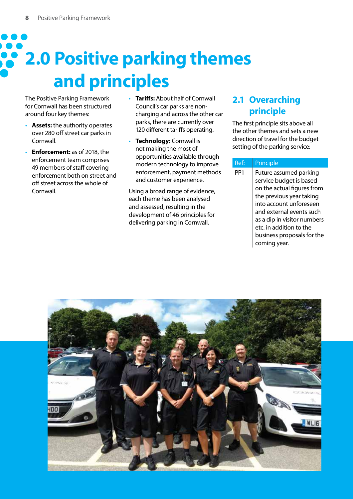# **2.0 Positive parking themes and principles**

The Positive Parking Framework for Cornwall has been structured around four key themes:

- **Assets:** the authority operates over 280 off street car parks in Cornwall.
- **Enforcement:** as of 2018, the enforcement team comprises 49 members of staff covering enforcement both on street and off street across the whole of Cornwall.
- **Tariffs:** About half of Cornwall Council's car parks are noncharging and across the other car parks, there are currently over 120 different tariffs operating.
- **Technology:** Cornwall is not making the most of opportunities available through modern technology to improve enforcement, payment methods and customer experience.

Using a broad range of evidence, each theme has been analysed and assessed, resulting in the development of 46 principles for delivering parking in Cornwall.

#### **2.1 Overarching principle**

The first principle sits above all the other themes and sets a new direction of travel for the budget setting of the parking service:

| Ref <sup>.</sup> | Principle                                                                                                                                                                                                                                                                  |
|------------------|----------------------------------------------------------------------------------------------------------------------------------------------------------------------------------------------------------------------------------------------------------------------------|
| PP1              | Future assumed parking<br>service budget is based<br>on the actual figures from<br>the previous year taking<br>into account unforeseen<br>and external events such<br>as a dip in visitor numbers<br>etc. in addition to the<br>business proposals for the<br>coming year. |

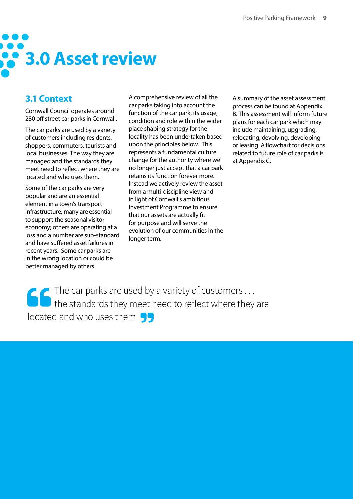

#### **3.1 Context**

Cornwall Council operates around 280 off street car parks in Cornwall.

The car parks are used by a variety of customers including residents, shoppers, commuters, tourists and local businesses. The way they are managed and the standards they meet need to reflect where they are located and who uses them.

Some of the car parks are very popular and are an essential element in a town's transport infrastructure; many are essential to support the seasonal visitor economy; others are operating at a loss and a number are sub-standard and have suffered asset failures in recent years. Some car parks are in the wrong location or could be better managed by others.

A comprehensive review of all the car parks taking into account the function of the car park, its usage, condition and role within the wider place shaping strategy for the locality has been undertaken based upon the principles below. This represents a fundamental culture change for the authority where we no longer just accept that a car park retains its function forever more. Instead we actively review the asset from a multi-discipline view and in light of Cornwall's ambitious Investment Programme to ensure that our assets are actually fit for purpose and will serve the evolution of our communities in the longer term.

A summary of the asset assessment process can be found at Appendix B. This assessment will inform future plans for each car park which may include maintaining, upgrading, relocating, devolving, developing or leasing. A flowchart for decisions related to future role of car parks is at Appendix C.

The car parks are used by a variety of customers . . . the standards they meet need to reflect where they are located and who uses them **99**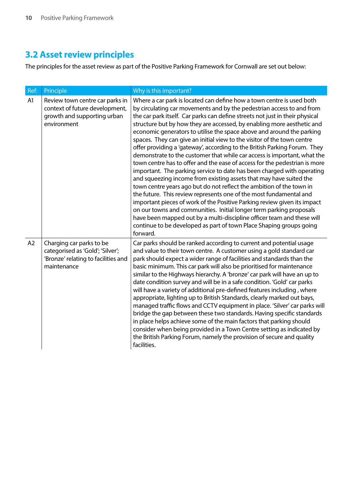#### **3.2 Asset review principles**

The principles for the asset review as part of the Positive Parking Framework for Cornwall are set out below:

| Ref: | Principle                                                                                                          | Why is this important?                                                                                                                                                                                                                                                                                                                                                                                                                                                                                                                                                                                                                                                                                                                                                                                                                                                                                                                                                                                                                                                                                                                                                                                                                                                                                            |
|------|--------------------------------------------------------------------------------------------------------------------|-------------------------------------------------------------------------------------------------------------------------------------------------------------------------------------------------------------------------------------------------------------------------------------------------------------------------------------------------------------------------------------------------------------------------------------------------------------------------------------------------------------------------------------------------------------------------------------------------------------------------------------------------------------------------------------------------------------------------------------------------------------------------------------------------------------------------------------------------------------------------------------------------------------------------------------------------------------------------------------------------------------------------------------------------------------------------------------------------------------------------------------------------------------------------------------------------------------------------------------------------------------------------------------------------------------------|
| A1   | Review town centre car parks in<br>context of future development,<br>growth and supporting urban<br>environment    | Where a car park is located can define how a town centre is used both<br>by circulating car movements and by the pedestrian access to and from<br>the car park itself. Car parks can define streets not just in their physical<br>structure but by how they are accessed, by enabling more aesthetic and<br>economic generators to utilise the space above and around the parking<br>spaces. They can give an initial view to the visitor of the town centre<br>offer providing a 'gateway', according to the British Parking Forum. They<br>demonstrate to the customer that while car access is important, what the<br>town centre has to offer and the ease of access for the pedestrian is more<br>important. The parking service to date has been charged with operating<br>and squeezing income from existing assets that may have suited the<br>town centre years ago but do not reflect the ambition of the town in<br>the future. This review represents one of the most fundamental and<br>important pieces of work of the Positive Parking review given its impact<br>on our towns and communities. Initial longer term parking proposals<br>have been mapped out by a multi-discipline officer team and these will<br>continue to be developed as part of town Place Shaping groups going<br>forward. |
| A2   | Charging car parks to be<br>categorised as 'Gold'; 'Silver';<br>'Bronze' relating to facilities and<br>maintenance | Car parks should be ranked according to current and potential usage<br>and value to their town centre. A customer using a gold standard car<br>park should expect a wider range of facilities and standards than the<br>basic minimum. This car park will also be prioritised for maintenance<br>similar to the Highways hierarchy. A 'bronze' car park will have an up to<br>date condition survey and will be in a safe condition. 'Gold' car parks<br>will have a variety of additional pre-defined features including, where<br>appropriate, lighting up to British Standards, clearly marked out bays,<br>managed traffic flows and CCTV equipment in place. 'Silver' car parks will<br>bridge the gap between these two standards. Having specific standards<br>in place helps achieve some of the main factors that parking should<br>consider when being provided in a Town Centre setting as indicated by<br>the British Parking Forum, namely the provision of secure and quality<br>facilities.                                                                                                                                                                                                                                                                                                        |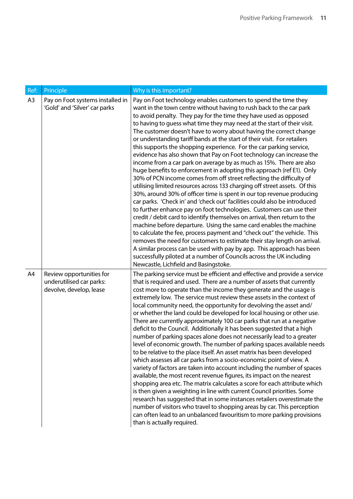| Ref:           | Principle                                                                       | Why is this important?                                                                                                                                                                                                                                                                                                                                                                                                                                                                                                                                                                                                                                                                                                                                                                                                                                                                                                                                                                                                                                                                                                                                                                                                                                                                                                                                                                                                                                                                                                                                                                                                         |
|----------------|---------------------------------------------------------------------------------|--------------------------------------------------------------------------------------------------------------------------------------------------------------------------------------------------------------------------------------------------------------------------------------------------------------------------------------------------------------------------------------------------------------------------------------------------------------------------------------------------------------------------------------------------------------------------------------------------------------------------------------------------------------------------------------------------------------------------------------------------------------------------------------------------------------------------------------------------------------------------------------------------------------------------------------------------------------------------------------------------------------------------------------------------------------------------------------------------------------------------------------------------------------------------------------------------------------------------------------------------------------------------------------------------------------------------------------------------------------------------------------------------------------------------------------------------------------------------------------------------------------------------------------------------------------------------------------------------------------------------------|
| A <sub>3</sub> | Pay on Foot systems installed in<br>'Gold' and 'Silver' car parks               | Pay on Foot technology enables customers to spend the time they<br>want in the town centre without having to rush back to the car park<br>to avoid penalty. They pay for the time they have used as opposed<br>to having to guess what time they may need at the start of their visit.<br>The customer doesn't have to worry about having the correct change<br>or understanding tariff bands at the start of their visit. For retailers<br>this supports the shopping experience. For the car parking service,<br>evidence has also shown that Pay on Foot technology can increase the<br>income from a car park on average by as much as 15%. There are also<br>huge benefits to enforcement in adopting this approach (ref E1). Only<br>30% of PCN income comes from off street reflecting the difficulty of<br>utilising limited resources across 133 charging off street assets. Of this<br>30%, around 30% of officer time is spent in our top revenue producing<br>car parks. 'Check in' and 'check out' facilities could also be introduced<br>to further enhance pay on foot technologies. Customers can use their<br>credit / debit card to identify themselves on arrival, then return to the<br>machine before departure. Using the same card enables the machine<br>to calculate the fee, process payment and "check out" the vehicle. This<br>removes the need for customers to estimate their stay length on arrival.<br>A similar process can be used with pay by app. This approach has been<br>successfully piloted at a number of Councils across the UK including<br>Newcastle, Lichfield and Basingstoke. |
| A4             | Review opportunities for<br>underutilised car parks:<br>devolve, develop, lease | The parking service must be efficient and effective and provide a service<br>that is required and used. There are a number of assets that currently<br>cost more to operate than the income they generate and the usage is<br>extremely low. The service must review these assets in the context of<br>local community need, the opportunity for devolving the asset and/<br>or whether the land could be developed for local housing or other use.<br>There are currently approximately 100 car parks that run at a negative<br>deficit to the Council. Additionally it has been suggested that a high<br>number of parking spaces alone does not necessarily lead to a greater<br>level of economic growth. The number of parking spaces available needs<br>to be relative to the place itself. An asset matrix has been developed<br>which assesses all car parks from a socio-economic point of view. A<br>variety of factors are taken into account including the number of spaces<br>available, the most recent revenue figures, its impact on the nearest<br>shopping area etc. The matrix calculates a score for each attribute which<br>is then given a weighting in line with current Council priorities. Some<br>research has suggested that in some instances retailers overestimate the<br>number of visitors who travel to shopping areas by car. This perception<br>can often lead to an unbalanced favouritism to more parking provisions<br>than is actually required.                                                                                                                                        |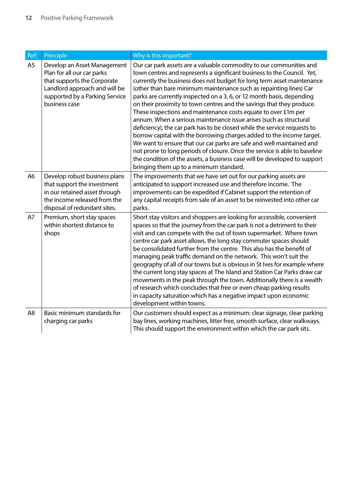| Ref:           | Principle                                                                                                                                                                    | Why is this important?                                                                                                                                                                                                                                                                                                                                                                                                                                                                                                                                                                                                                                                                                                                                                                                                                                                                                                                                                                                                       |
|----------------|------------------------------------------------------------------------------------------------------------------------------------------------------------------------------|------------------------------------------------------------------------------------------------------------------------------------------------------------------------------------------------------------------------------------------------------------------------------------------------------------------------------------------------------------------------------------------------------------------------------------------------------------------------------------------------------------------------------------------------------------------------------------------------------------------------------------------------------------------------------------------------------------------------------------------------------------------------------------------------------------------------------------------------------------------------------------------------------------------------------------------------------------------------------------------------------------------------------|
| A <sub>5</sub> | Develop an Asset Management<br>Plan for all our car parks<br>that supports the Corporate<br>Landlord approach and will be<br>supported by a Parking Service<br>business case | Our car park assets are a valuable commodity to our communities and<br>town centres and represents a significant business to the Council. Yet,<br>currently the business does not budget for long term asset maintenance<br>(other than bare minimum maintenance such as repainting lines) Car<br>parks are currently inspected on a 3, 6, or 12 month basis, depending<br>on their proximity to town centres and the savings that they produce.<br>These inspections and maintenance costs equate to over £1m per<br>annum. When a serious maintenance issue arises (such as structural<br>deficiency), the car park has to be closed while the service requests to<br>borrow capital with the borrowing charges added to the income target.<br>We want to ensure that our car parks are safe and well maintained and<br>not prone to long periods of closure. Once the service is able to baseline<br>the condition of the assets, a business case will be developed to support<br>bringing them up to a minimum standard. |
| A <sub>6</sub> | Develop robust business plans<br>that support the investment<br>in our retained asset through<br>the income released from the<br>disposal of redundant sites.                | The improvements that we have set out for our parking assets are<br>anticipated to support increased use and therefore income. The<br>improvements can be expedited if Cabinet support the retention of<br>any capital receipts from sale of an asset to be reinvested into other car<br>parks.                                                                                                                                                                                                                                                                                                                                                                                                                                                                                                                                                                                                                                                                                                                              |
| A7             | Premium, short stay spaces<br>within shortest distance to<br>shops                                                                                                           | Short stay visitors and shoppers are looking for accessible, convenient<br>spaces so that the journey from the car park is not a detriment to their<br>visit and can compete with the out of town supermarket. Where town<br>centre car park asset allows, the long stay commuter spaces should<br>be consolidated further from the centre. This also has the benefit of<br>managing peak traffic demand on the network. This won't suit the<br>geography of all of our towns but is obvious in St Ives for example where<br>the current long stay spaces at The Island and Station Car Parks draw car<br>movements in the peak through the town. Additionally there is a wealth<br>of research which concludes that free or even cheap parking results<br>in capacity saturation which has a negative impact upon economic<br>development within towns.                                                                                                                                                                     |
| A <sub>8</sub> | Basic minimum standards for<br>charging car parks                                                                                                                            | Our customers should expect as a minimum: clear signage, clear parking<br>bay lines, working machines, litter free, smooth surface, clear walkways.<br>This should support the environment within which the car park sits.                                                                                                                                                                                                                                                                                                                                                                                                                                                                                                                                                                                                                                                                                                                                                                                                   |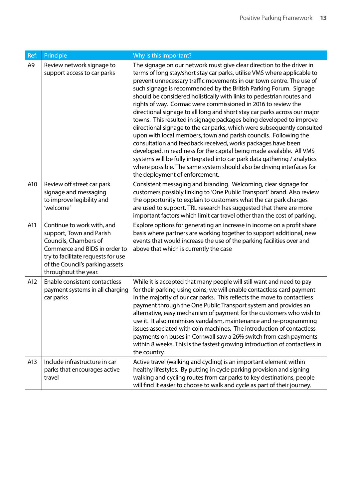| Ref:           | Principle                                                                                                                                                                                                         | Why is this important?                                                                                                                                                                                                                                                                                                                                                                                                                                                                                                                                                                                                                                                                                                                                                                                                                                                                                                                                                                                                                                                       |
|----------------|-------------------------------------------------------------------------------------------------------------------------------------------------------------------------------------------------------------------|------------------------------------------------------------------------------------------------------------------------------------------------------------------------------------------------------------------------------------------------------------------------------------------------------------------------------------------------------------------------------------------------------------------------------------------------------------------------------------------------------------------------------------------------------------------------------------------------------------------------------------------------------------------------------------------------------------------------------------------------------------------------------------------------------------------------------------------------------------------------------------------------------------------------------------------------------------------------------------------------------------------------------------------------------------------------------|
| A <sub>9</sub> | Review network signage to<br>support access to car parks                                                                                                                                                          | The signage on our network must give clear direction to the driver in<br>terms of long stay/short stay car parks, utilise VMS where applicable to<br>prevent unnecessary traffic movements in our town centre. The use of<br>such signage is recommended by the British Parking Forum. Signage<br>should be considered holistically with links to pedestrian routes and<br>rights of way. Cormac were commissioned in 2016 to review the<br>directional signage to all long and short stay car parks across our major<br>towns. This resulted in signage packages being developed to improve<br>directional signage to the car parks, which were subsequently consulted<br>upon with local members, town and parish councils. Following the<br>consultation and feedback received, works packages have been<br>developed, in readiness for the capital being made available. All VMS<br>systems will be fully integrated into car park data gathering / analytics<br>where possible. The same system should also be driving interfaces for<br>the deployment of enforcement. |
| A10            | Review off street car park<br>signage and messaging<br>to improve legibility and<br>'welcome'                                                                                                                     | Consistent messaging and branding. Welcoming, clear signage for<br>customers possibly linking to 'One Public Transport' brand. Also review<br>the opportunity to explain to customers what the car park charges<br>are used to support. TRL research has suggested that there are more<br>important factors which limit car travel other than the cost of parking.                                                                                                                                                                                                                                                                                                                                                                                                                                                                                                                                                                                                                                                                                                           |
| A11            | Continue to work with, and<br>support, Town and Parish<br>Councils, Chambers of<br>Commerce and BIDS in order to<br>try to facilitate requests for use<br>of the Council's parking assets<br>throughout the year. | Explore options for generating an increase in income on a profit share<br>basis where partners are working together to support additional, new<br>events that would increase the use of the parking facilities over and<br>above that which is currently the case                                                                                                                                                                                                                                                                                                                                                                                                                                                                                                                                                                                                                                                                                                                                                                                                            |
| A12            | Enable consistent contactless<br>payment systems in all charging<br>car parks                                                                                                                                     | While it is accepted that many people will still want and need to pay<br>for their parking using coins; we will enable contactless card payment<br>in the majority of our car parks. This reflects the move to contactless<br>payment through the One Public Transport system and provides an<br>alternative, easy mechanism of payment for the customers who wish to<br>use it. It also minimises vandalism, maintenance and re-programming<br>issues associated with coin machines. The introduction of contactless<br>payments on buses in Cornwall saw a 26% switch from cash payments<br>within 8 weeks. This is the fastest growing introduction of contactless in<br>the country.                                                                                                                                                                                                                                                                                                                                                                                     |
| A13            | Include infrastructure in car<br>parks that encourages active<br>travel                                                                                                                                           | Active travel (walking and cycling) is an important element within<br>healthy lifestyles. By putting in cycle parking provision and signing<br>walking and cycling routes from car parks to key destinations, people<br>will find it easier to choose to walk and cycle as part of their journey.                                                                                                                                                                                                                                                                                                                                                                                                                                                                                                                                                                                                                                                                                                                                                                            |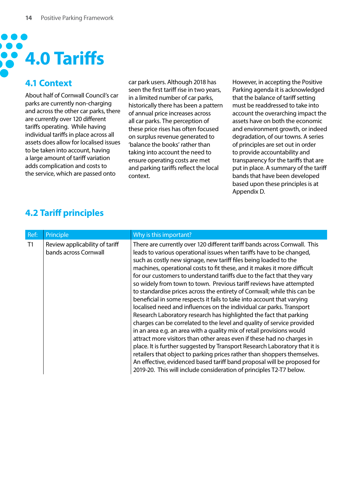

#### **4.1 Context**

About half of Cornwall Council's car parks are currently non-charging and across the other car parks, there are currently over 120 different tariffs operating. While having individual tariffs in place across all assets does allow for localised issues to be taken into account, having a large amount of tariff variation adds complication and costs to the service, which are passed onto

car park users. Although 2018 has seen the first tariff rise in two years, in a limited number of car parks, historically there has been a pattern of annual price increases across all car parks. The perception of these price rises has often focused on surplus revenue generated to 'balance the books' rather than taking into account the need to ensure operating costs are met and parking tariffs reflect the local context.

However, in accepting the Positive Parking agenda it is acknowledged that the balance of tariff setting must be readdressed to take into account the overarching impact the assets have on both the economic and environment growth, or indeed degradation, of our towns. A series of principles are set out in order to provide accountability and transparency for the tariffs that are put in place. A summary of the tariff bands that have been developed based upon these principles is at Appendix D.

#### **4.2 Tariff principles**

| Ref: | Principle                                               | Why is this important?                                                                                                                                                                                                                                                                                                                                                                                                                                                                                                                                                                                                                                                                                                                                                                                                                                                                                                                                                                                                                                                                                                                                                                                                                                                                          |
|------|---------------------------------------------------------|-------------------------------------------------------------------------------------------------------------------------------------------------------------------------------------------------------------------------------------------------------------------------------------------------------------------------------------------------------------------------------------------------------------------------------------------------------------------------------------------------------------------------------------------------------------------------------------------------------------------------------------------------------------------------------------------------------------------------------------------------------------------------------------------------------------------------------------------------------------------------------------------------------------------------------------------------------------------------------------------------------------------------------------------------------------------------------------------------------------------------------------------------------------------------------------------------------------------------------------------------------------------------------------------------|
| T1   | Review applicability of tariff<br>bands across Cornwall | There are currently over 120 different tariff bands across Cornwall. This<br>leads to various operational issues when tariffs have to be changed,<br>such as costly new signage, new tariff files being loaded to the<br>machines, operational costs to fit these, and it makes it more difficult<br>for our customers to understand tariffs due to the fact that they vary<br>so widely from town to town. Previous tariff reviews have attempted<br>to standardise prices across the entirety of Cornwall; while this can be<br>beneficial in some respects it fails to take into account that varying<br>localised need and influences on the individual car parks. Transport<br>Research Laboratory research has highlighted the fact that parking<br>charges can be correlated to the level and quality of service provided<br>in an area e.g. an area with a quality mix of retail provisions would<br>attract more visitors than other areas even if these had no charges in<br>place. It is further suggested by Transport Research Laboratory that it is<br>retailers that object to parking prices rather than shoppers themselves.<br>An effective, evidenced based tariff band proposal will be proposed for<br>2019-20. This will include consideration of principles T2-T7 below. |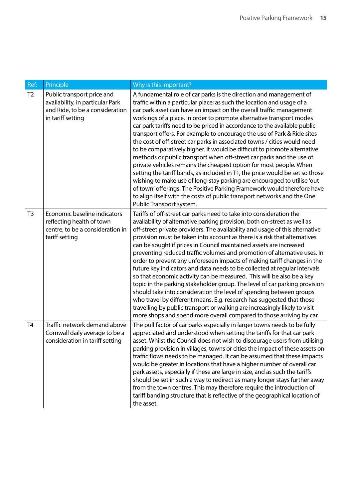| Ref:           | Principle                                                                                                              | Why is this important?                                                                                                                                                                                                                                                                                                                                                                                                                                                                                                                                                                                                                                                                                                                                                                                                                                                                                                                                                                                                                                                                                |
|----------------|------------------------------------------------------------------------------------------------------------------------|-------------------------------------------------------------------------------------------------------------------------------------------------------------------------------------------------------------------------------------------------------------------------------------------------------------------------------------------------------------------------------------------------------------------------------------------------------------------------------------------------------------------------------------------------------------------------------------------------------------------------------------------------------------------------------------------------------------------------------------------------------------------------------------------------------------------------------------------------------------------------------------------------------------------------------------------------------------------------------------------------------------------------------------------------------------------------------------------------------|
| T <sub>2</sub> | Public transport price and<br>availability, in particular Park<br>and Ride, to be a consideration<br>in tariff setting | A fundamental role of car parks is the direction and management of<br>traffic within a particular place; as such the location and usage of a<br>car park asset can have an impact on the overall traffic management<br>workings of a place. In order to promote alternative transport modes<br>car park tariffs need to be priced in accordance to the available public<br>transport offers. For example to encourage the use of Park & Ride sites<br>the cost of off-street car parks in associated towns / cities would need<br>to be comparatively higher. It would be difficult to promote alternative<br>methods or public transport when off-street car parks and the use of<br>private vehicles remains the cheapest option for most people. When<br>setting the tariff bands, as included in T1, the price would be set so those<br>wishing to make use of long-stay parking are encouraged to utilise 'out<br>of town' offerings. The Positive Parking Framework would therefore have<br>to align itself with the costs of public transport networks and the One<br>Public Transport system. |
| T <sub>3</sub> | Economic baseline indicators<br>reflecting health of town<br>centre, to be a consideration in<br>tariff setting        | Tariffs of off-street car parks need to take into consideration the<br>availability of alternative parking provision, both on-street as well as<br>off-street private providers. The availability and usage of this alternative<br>provision must be taken into account as there is a risk that alternatives<br>can be sought if prices in Council maintained assets are increased<br>preventing reduced traffic volumes and promotion of alternative uses. In<br>order to prevent any unforeseen impacts of making tariff changes in the<br>future key indicators and data needs to be collected at regular intervals<br>so that economic activity can be measured. This will be also be a key<br>topic in the parking stakeholder group. The level of car parking provision<br>should take into consideration the level of spending between groups<br>who travel by different means. E.g. research has suggested that those<br>travelling by public transport or walking are increasingly likely to visit<br>more shops and spend more overall compared to those arriving by car.                   |
| T <sub>4</sub> | Traffic network demand above<br>Cornwall daily average to be a<br>consideration in tariff setting                      | The pull factor of car parks especially in larger towns needs to be fully<br>appreciated and understood when setting the tariffs for that car park<br>asset. Whilst the Council does not wish to discourage users from utilising<br>parking provision in villages, towns or cities the impact of these assets on<br>traffic flows needs to be managed. It can be assumed that these impacts<br>would be greater in locations that have a higher number of overall car<br>park assets, especially if these are large in size, and as such the tariffs<br>should be set in such a way to redirect as many longer stays further away<br>from the town centres. This may therefore require the introduction of<br>tariff banding structure that is reflective of the geographical location of<br>the asset.                                                                                                                                                                                                                                                                                               |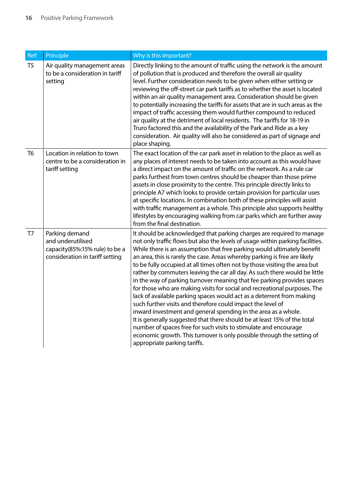| Ref:           | Principle                                                                                                | Why is this important?                                                                                                                                                                                                                                                                                                                                                                                                                                                                                                                                                                                                                                                                                                                                                                                                                                                                                                                                                                                                                                                                                   |
|----------------|----------------------------------------------------------------------------------------------------------|----------------------------------------------------------------------------------------------------------------------------------------------------------------------------------------------------------------------------------------------------------------------------------------------------------------------------------------------------------------------------------------------------------------------------------------------------------------------------------------------------------------------------------------------------------------------------------------------------------------------------------------------------------------------------------------------------------------------------------------------------------------------------------------------------------------------------------------------------------------------------------------------------------------------------------------------------------------------------------------------------------------------------------------------------------------------------------------------------------|
| T <sub>5</sub> | Air quality management areas<br>to be a consideration in tariff<br>setting                               | Directly linking to the amount of traffic using the network is the amount<br>of pollution that is produced and therefore the overall air quality<br>level. Further consideration needs to be given when either setting or<br>reviewing the off-street car park tariffs as to whether the asset is located<br>within an air quality management area. Consideration should be given<br>to potentially increasing the tariffs for assets that are in such areas as the<br>impact of traffic accessing them would further compound to reduced<br>air quality at the detriment of local residents. The tariffs for 18-19 in<br>Truro factored this and the availability of the Park and Ride as a key<br>consideration. Air quality will also be considered as part of signage and<br>place shaping.                                                                                                                                                                                                                                                                                                          |
| T <sub>6</sub> | Location in relation to town<br>centre to be a consideration in<br>tariff setting                        | The exact location of the car park asset in relation to the place as well as<br>any places of interest needs to be taken into account as this would have<br>a direct impact on the amount of traffic on the network. As a rule car<br>parks furthest from town centres should be cheaper than those prime<br>assets in close proximity to the centre. This principle directly links to<br>principle A7 which looks to provide certain provision for particular uses<br>at specific locations. In combination both of these principles will assist<br>with traffic management as a whole. This principle also supports healthy<br>lifestyles by encouraging walking from car parks which are further away<br>from the final destination.                                                                                                                                                                                                                                                                                                                                                                  |
| T <sub>7</sub> | Parking demand<br>and underutilised<br>capacity(85%:15% rule) to be a<br>consideration in tariff setting | It should be acknowledged that parking charges are required to manage<br>not only traffic flows but also the levels of usage within parking facilities.<br>While there is an assumption that free parking would ultimately benefit<br>an area, this is rarely the case. Areas whereby parking is free are likely<br>to be fully occupied at all times often not by those visiting the area but<br>rather by commuters leaving the car all day. As such there would be little<br>in the way of parking turnover meaning that fee parking provides spaces<br>for those who are making visits for social and recreational purposes. The<br>lack of available parking spaces would act as a deterrent from making<br>such further visits and therefore could impact the level of<br>inward investment and general spending in the area as a whole.<br>It is generally suggested that there should be at least 15% of the total<br>number of spaces free for such visits to stimulate and encourage<br>economic growth. This turnover is only possible through the setting of<br>appropriate parking tariffs. |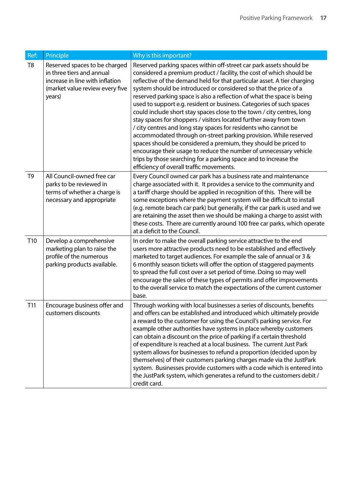| Ref:            | Principle                                                                                                                                  | Why is this important?                                                                                                                                                                                                                                                                                                                                                                                                                                                                                                                                                                                                                                                                                                                                                                                                                                                                                                                                                                       |
|-----------------|--------------------------------------------------------------------------------------------------------------------------------------------|----------------------------------------------------------------------------------------------------------------------------------------------------------------------------------------------------------------------------------------------------------------------------------------------------------------------------------------------------------------------------------------------------------------------------------------------------------------------------------------------------------------------------------------------------------------------------------------------------------------------------------------------------------------------------------------------------------------------------------------------------------------------------------------------------------------------------------------------------------------------------------------------------------------------------------------------------------------------------------------------|
| T <sub>8</sub>  | Reserved spaces to be charged<br>in three tiers and annual<br>increase in line with inflation<br>(market value review every five<br>years) | Reserved parking spaces within off-street car park assets should be<br>considered a premium product / facility, the cost of which should be<br>reflective of the demand held for that particular asset. A tier charging<br>system should be introduced or considered so that the price of a<br>reserved parking space is also a reflection of what the space is being<br>used to support e.g. resident or business. Categories of such spaces<br>could include short stay spaces close to the town / city centres, long<br>stay spaces for shoppers / visitors located further away from town<br>/ city centres and long stay spaces for residents who cannot be<br>accommodated through on-street parking provision. While reserved<br>spaces should be considered a premium, they should be priced to<br>encourage their usage to reduce the number of unnecessary vehicle<br>trips by those searching for a parking space and to increase the<br>efficiency of overall traffic movements. |
| T <sub>9</sub>  | All Council-owned free car<br>parks to be reviewed in<br>terms of whether a charge is<br>necessary and appropriate                         | Every Council owned car park has a business rate and maintenance<br>charge associated with it. It provides a service to the community and<br>a tariff charge should be applied in recognition of this. There will be<br>some exceptions where the payment system will be difficult to install<br>(e.g. remote beach car park) but generally, if the car park is used and we<br>are retaining the asset then we should be making a charge to assist with<br>these costs. There are currently around 100 free car parks, which operate<br>at a deficit to the Council.                                                                                                                                                                                                                                                                                                                                                                                                                         |
| T <sub>10</sub> | Develop a comprehensive<br>marketing plan to raise the<br>profile of the numerous<br>parking products available.                           | In order to make the overall parking service attractive to the end<br>users more attractive products need to be established and effectively<br>marketed to target audiences. For example the sale of annual or 3 &<br>6 monthly season tickets will offer the option of staggered payments<br>to spread the full cost over a set period of time. Doing so may well<br>encourage the sales of these types of permits and offer improvements<br>to the overall service to match the expectations of the current customer<br>base.                                                                                                                                                                                                                                                                                                                                                                                                                                                              |
| T <sub>11</sub> | Encourage business offer and<br>customers discounts                                                                                        | Through working with local businesses a series of discounts, benefits<br>and offers can be established and introduced which ultimately provide<br>a reward to the customer for using the Council's parking service. For<br>example other authorities have systems in place whereby customers<br>can obtain a discount on the price of parking if a certain threshold<br>of expenditure is reached at a local business. The current Just Park<br>system allows for businesses to refund a proportion (decided upon by<br>themselves) of their customers parking charges made via the JustPark<br>system. Businesses provide customers with a code which is entered into<br>the JustPark system, which generates a refund to the customers debit /<br>credit card.                                                                                                                                                                                                                             |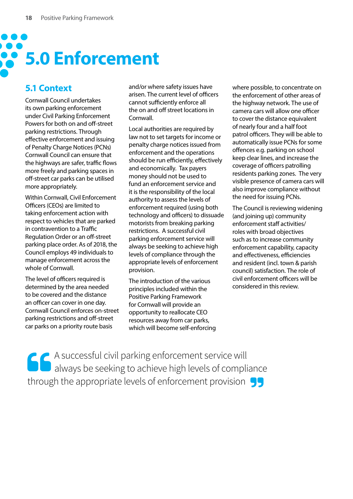

#### **5.1 Context**

Cornwall Council undertakes its own parking enforcement under Civil Parking Enforcement Powers for both on and off-street parking restrictions. Through effective enforcement and issuing of Penalty Charge Notices (PCNs) Cornwall Council can ensure that the highways are safer, traffic flows more freely and parking spaces in off-street car parks can be utilised more appropriately.

Within Cornwall, Civil Enforcement Officers (CEOs) are limited to taking enforcement action with respect to vehicles that are parked in contravention to a Traffic Regulation Order or an off-street parking place order. As of 2018, the Council employs 49 individuals to manage enforcement across the whole of Cornwall.

The level of officers required is determined by the area needed to be covered and the distance an officer can cover in one day. Cornwall Council enforces on-street parking restrictions and off-street car parks on a priority route basis

and/or where safety issues have arisen. The current level of officers cannot sufficiently enforce all the on and off street locations in Cornwall.

Local authorities are required by law not to set targets for income or penalty charge notices issued from enforcement and the operations should be run efficiently, effectively and economically. Tax payers money should not be used to fund an enforcement service and it is the responsibility of the local authority to assess the levels of enforcement required (using both technology and officers) to dissuade motorists from breaking parking restrictions. A successful civil parking enforcement service will always be seeking to achieve high levels of compliance through the appropriate levels of enforcement provision.

The introduction of the various principles included within the Positive Parking Framework for Cornwall will provide an opportunity to reallocate CEO resources away from car parks, which will become self-enforcing where possible, to concentrate on the enforcement of other areas of the highway network. The use of camera cars will allow one officer to cover the distance equivalent of nearly four and a half foot patrol officers. They will be able to automatically issue PCNs for some offences e.g. parking on school keep clear lines, and increase the coverage of officers patrolling residents parking zones. The very visible presence of camera cars will also improve compliance without the need for issuing PCNs.

The Council is reviewing widening (and joining up) community enforcement staff activities/ roles with broad objectives such as to increase community enforcement capability, capacity and effectiveness, efficiencies and resident (incl. town & parish council) satisfaction. The role of civil enforcement officers will be considered in this review.

A successful civil parking enforcement service will always be seeking to achieve high levels of compliance through the appropriate levels of enforcement provision  $\sqrt{9}$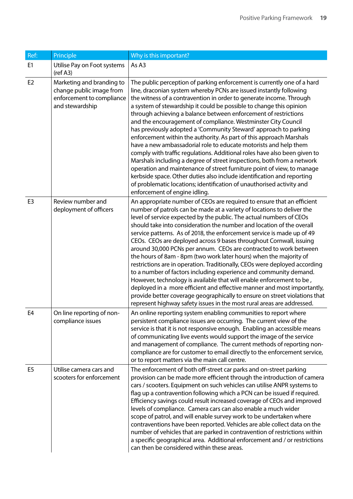| Ref:           | Principle                                                                                             | Why is this important?                                                                                                                                                                                                                                                                                                                                                                                                                                                                                                                                                                                                                                                                                                                                                                                                                                                                                                                                                                                                                                              |
|----------------|-------------------------------------------------------------------------------------------------------|---------------------------------------------------------------------------------------------------------------------------------------------------------------------------------------------------------------------------------------------------------------------------------------------------------------------------------------------------------------------------------------------------------------------------------------------------------------------------------------------------------------------------------------------------------------------------------------------------------------------------------------------------------------------------------------------------------------------------------------------------------------------------------------------------------------------------------------------------------------------------------------------------------------------------------------------------------------------------------------------------------------------------------------------------------------------|
| E1             | Utilise Pay on Foot systems<br>(ref A3)                                                               | As A3                                                                                                                                                                                                                                                                                                                                                                                                                                                                                                                                                                                                                                                                                                                                                                                                                                                                                                                                                                                                                                                               |
| E <sub>2</sub> | Marketing and branding to<br>change public image from<br>enforcement to compliance<br>and stewardship | The public perception of parking enforcement is currently one of a hard<br>line, draconian system whereby PCNs are issued instantly following<br>the witness of a contravention in order to generate income. Through<br>a system of stewardship it could be possible to change this opinion<br>through achieving a balance between enforcement of restrictions<br>and the encouragement of compliance. Westminster City Council<br>has previously adopted a 'Community Steward' approach to parking<br>enforcement within the authority. As part of this approach Marshals<br>have a new ambassadorial role to educate motorists and help them<br>comply with traffic regulations. Additional roles have also been given to<br>Marshals including a degree of street inspections, both from a network<br>operation and maintenance of street furniture point of view, to manage<br>kerbside space. Other duties also include identification and reporting<br>of problematic locations; identification of unauthorised activity and<br>enforcement of engine idling. |
| E <sub>3</sub> | Review number and<br>deployment of officers                                                           | An appropriate number of CEOs are required to ensure that an efficient<br>number of patrols can be made at a variety of locations to deliver the<br>level of service expected by the public. The actual numbers of CEOs<br>should take into consideration the number and location of the overall<br>service patterns. As of 2018, the enforcement service is made up of 49<br>CEOs. CEOs are deployed across 9 bases throughout Cornwall, issuing<br>around 30,000 PCNs per annum. CEOs are contracted to work between<br>the hours of 8am - 8pm (two work later hours) when the majority of<br>restrictions are in operation. Traditionally, CEOs were deployed according<br>to a number of factors including experience and community demand.<br>However, technology is available that will enable enforcement to be,<br>deployed in a more efficient and effective manner and most importantly,<br>provide better coverage geographically to ensure on street violations that<br>represent highway safety issues in the most rural areas are addressed.          |
| E4             | On line reporting of non-<br>compliance issues                                                        | An online reporting system enabling communities to report where<br>persistent compliance issues are occurring. The current view of the<br>service is that it is not responsive enough. Enabling an accessible means<br>of communicating live events would support the image of the service<br>and management of compliance. The current methods of reporting non-<br>compliance are for customer to email directly to the enforcement service,<br>or to report matters via the main call centre.                                                                                                                                                                                                                                                                                                                                                                                                                                                                                                                                                                    |
| E <sub>5</sub> | Utilise camera cars and<br>scooters for enforcement                                                   | The enforcement of both off-street car parks and on-street parking<br>provision can be made more efficient through the introduction of camera<br>cars / scooters. Equipment on such vehicles can utilise ANPR systems to<br>flag up a contravention following which a PCN can be issued if required.<br>Efficiency savings could result increased coverage of CEOs and improved<br>levels of compliance. Camera cars can also enable a much wider<br>scope of patrol, and will enable survey work to be undertaken where<br>contraventions have been reported. Vehicles are able collect data on the<br>number of vehicles that are parked in contravention of restrictions within<br>a specific geographical area. Additional enforcement and / or restrictions<br>can then be considered within these areas.                                                                                                                                                                                                                                                      |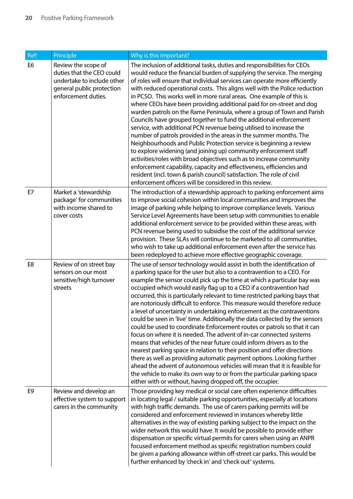| Ref:           | Principle                                                                                                                          | Why is this important?                                                                                                                                                                                                                                                                                                                                                                                                                                                                                                                                                                                                                                                                                                                                                                                                                                                                                                                                                                                                                                                                                                                                                                                                            |
|----------------|------------------------------------------------------------------------------------------------------------------------------------|-----------------------------------------------------------------------------------------------------------------------------------------------------------------------------------------------------------------------------------------------------------------------------------------------------------------------------------------------------------------------------------------------------------------------------------------------------------------------------------------------------------------------------------------------------------------------------------------------------------------------------------------------------------------------------------------------------------------------------------------------------------------------------------------------------------------------------------------------------------------------------------------------------------------------------------------------------------------------------------------------------------------------------------------------------------------------------------------------------------------------------------------------------------------------------------------------------------------------------------|
| E <sub>6</sub> | Review the scope of<br>duties that the CEO could<br>undertake to include other<br>general public protection<br>enforcement duties. | The inclusion of additional tasks, duties and responsibilities for CEOs<br>would reduce the financial burden of supplying the service. The merging<br>of roles will ensure that individual services can operate more efficiently<br>with reduced operational costs. This aligns well with the Police reduction<br>in PCSO. This works well in more rural areas. One example of this is<br>where CEOs have been providing additional paid for on-street and dog<br>warden patrols on the Rame Peninsula, where a group of Town and Parish<br>Councils have grouped together to fund the additional enforcement<br>service, with additional PCN revenue being utilised to increase the<br>number of patrols provided in the areas in the summer months. The<br>Neighbourhoods and Public Protection service is beginning a review<br>to explore widening (and joining up) community enforcement staff<br>activities/roles with broad objectives such as to increase community<br>enforcement capability, capacity and effectiveness, efficiencies and<br>resident (incl. town & parish council) satisfaction. The role of civil<br>enforcement officers will be considered in this review.                                          |
| E7             | Market a 'stewardship<br>package' for communities<br>with income shared to<br>cover costs                                          | The introduction of a stewardship approach to parking enforcement aims<br>to improve social cohesion within local communities and improves the<br>image of parking while helping to improve compliance levels. Various<br>Service Level Agreements have been setup with communities to enable<br>additional enforcement service to be provided within these areas, with<br>PCN revenue being used to subsidise the cost of the additional service<br>provision. These SLAs will continue to be marketed to all communities,<br>who wish to take up additional enforcement even after the service has<br>been redeployed to achieve more effective geographic coverage.                                                                                                                                                                                                                                                                                                                                                                                                                                                                                                                                                            |
| E8             | Review of on street bay<br>sensors on our most<br>sensitive/high turnover<br>streets                                               | The use of sensor technology would assist in both the identification of<br>a parking space for the user but also to a contravention to a CEO. For<br>example the sensor could pick up the time at which a particular bay was<br>occupied which would easily flag up to a CEO if a contravention had<br>occurred, this is particularly relevant to time restricted parking bays that<br>are notoriously difficult to enforce. This measure would therefore reduce<br>a level of uncertainty in undertaking enforcement as the contraventions<br>could be seen in 'live' time. Additionally the data collected by the sensors<br>could be used to coordinate Enforcement routes or patrols so that it can<br>focus on where it is needed. The advent of in-car connected systems<br>means that vehicles of the near future could inform drivers as to the<br>nearest parking space in relation to their position and offer directions<br>there as well as providing automatic payment options. Looking further<br>ahead the advent of autonomous vehicles will mean that it is feasible for<br>the vehicle to make its own way to or from the particular parking space<br>either with or without, having dropped off, the occupier. |
| E <sub>9</sub> | Review and develop an<br>effective system to support<br>carers in the community                                                    | Those providing key medical or social care often experience difficulties<br>in locating legal / suitable parking opportunities, especially at locations<br>with high traffic demands. The use of carers parking permits will be<br>considered and enforcement reviewed in instances whereby little<br>alternatives in the way of existing parking subject to the impact on the<br>wider network this would have. It would be possible to provide either<br>dispensation or specific virtual permits for carers when using an ANPR<br>focused enforcement method as specific registration numbers could<br>be given a parking allowance within off-street car parks. This would be<br>further enhanced by 'check in' and 'check out' systems.                                                                                                                                                                                                                                                                                                                                                                                                                                                                                      |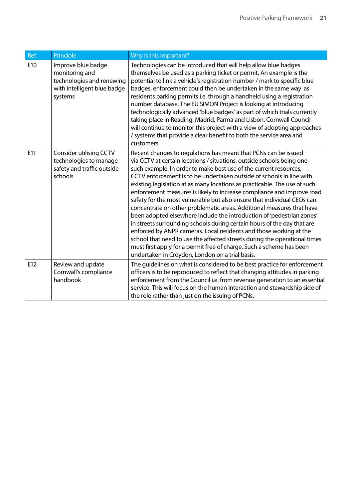| Ref: | Principle                                                                                                   | Why is this important?                                                                                                                                                                                                                                                                                                                                                                                                                                                                                                                                                                                                                                                                                                                                                                                                                                                                                                                                                                                                             |
|------|-------------------------------------------------------------------------------------------------------------|------------------------------------------------------------------------------------------------------------------------------------------------------------------------------------------------------------------------------------------------------------------------------------------------------------------------------------------------------------------------------------------------------------------------------------------------------------------------------------------------------------------------------------------------------------------------------------------------------------------------------------------------------------------------------------------------------------------------------------------------------------------------------------------------------------------------------------------------------------------------------------------------------------------------------------------------------------------------------------------------------------------------------------|
| E10  | Improve blue badge<br>monitoring and<br>technologies and renewing<br>with intelligent blue badge<br>systems | Technologies can be introduced that will help allow blue badges<br>themselves be used as a parking ticket or permit. An example is the<br>potential to link a vehicle's registration number / mark to specific blue<br>badges, enforcement could then be undertaken in the same way as<br>residents parking permits i.e. through a handheld using a registration<br>number database. The EU SIMON Project is looking at introducing<br>technologically advanced 'blue badges' as part of which trials currently<br>taking place in Reading, Madrid, Parma and Lisbon. Cornwall Council<br>will continue to monitor this project with a view of adopting approaches<br>/ systems that provide a clear benefit to both the service area and<br>customers.                                                                                                                                                                                                                                                                            |
| E11  | Consider utilising CCTV<br>technologies to manage<br>safety and traffic outside<br>schools                  | Recent changes to regulations has meant that PCNs can be issued<br>via CCTV at certain locations / situations, outside schools being one<br>such example. In order to make best use of the current resources,<br>CCTV enforcement is to be undertaken outside of schools in line with<br>existing legislation at as many locations as practicable. The use of such<br>enforcement measures is likely to increase compliance and improve road<br>safety for the most vulnerable but also ensure that individual CEOs can<br>concentrate on other problematic areas. Additional measures that have<br>been adopted elsewhere include the introduction of 'pedestrian zones'<br>in streets surrounding schools during certain hours of the day that are<br>enforced by ANPR cameras. Local residents and those working at the<br>school that need to use the affected streets during the operational times<br>must first apply for a permit free of charge. Such a scheme has been<br>undertaken in Croydon, London on a trial basis. |
| E12  | Review and update<br>Cornwall's compliance<br>handbook                                                      | The guidelines on what is considered to be best practice for enforcement<br>officers is to be reproduced to reflect that changing attitudes in parking<br>enforcement from the Council i.e. from revenue generation to an essential<br>service. This will focus on the human interaction and stewardship side of<br>the role rather than just on the issuing of PCNs.                                                                                                                                                                                                                                                                                                                                                                                                                                                                                                                                                                                                                                                              |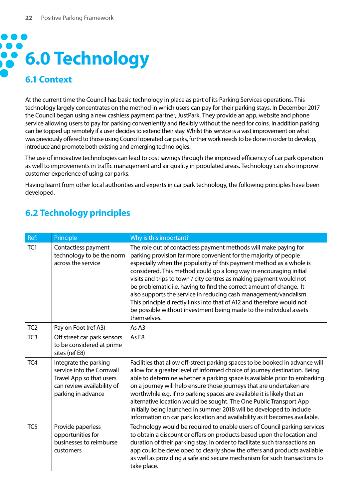

At the current time the Council has basic technology in place as part of its Parking Services operations. This technology largely concentrates on the method in which users can pay for their parking stays. In December 2017 the Council began using a new cashless payment partner, JustPark. They provide an app, website and phone service allowing users to pay for parking conveniently and flexibly without the need for coins. In addition parking can be topped up remotely if a user decides to extend their stay. Whilst this service is a vast improvement on what was previously offered to those using Council operated car parks, further work needs to be done in order to develop, introduce and promote both existing and emerging technologies.

The use of innovative technologies can lead to cost savings through the improved efficiency of car park operation as well to improvements in traffic management and air quality in populated areas. Technology can also improve customer experience of using car parks.

Having learnt from other local authorities and experts in car park technology, the following principles have been developed.

#### **6.2 Technology principles**

| Ref:            | Principle                                                                                                                          | Why is this important?                                                                                                                                                                                                                                                                                                                                                                                                                                                                                                                                                                                                                                             |
|-----------------|------------------------------------------------------------------------------------------------------------------------------------|--------------------------------------------------------------------------------------------------------------------------------------------------------------------------------------------------------------------------------------------------------------------------------------------------------------------------------------------------------------------------------------------------------------------------------------------------------------------------------------------------------------------------------------------------------------------------------------------------------------------------------------------------------------------|
| TC1             | Contactless payment<br>technology to be the norm<br>across the service                                                             | The role out of contactless payment methods will make paying for<br>parking provision far more convenient for the majority of people<br>especially when the popularity of this payment method as a whole is<br>considered. This method could go a long way in encouraging initial<br>visits and trips to town / city centres as making payment would not<br>be problematic i.e. having to find the correct amount of change. It<br>also supports the service in reducing cash management/vandalism.<br>This principle directly links into that of A12 and therefore would not<br>be possible without investment being made to the individual assets<br>themselves. |
| TC <sub>2</sub> | Pay on Foot (ref A3)                                                                                                               | As A3                                                                                                                                                                                                                                                                                                                                                                                                                                                                                                                                                                                                                                                              |
| TC <sub>3</sub> | Off street car park sensors<br>to be considered at prime<br>sites (ref E8)                                                         | As E8                                                                                                                                                                                                                                                                                                                                                                                                                                                                                                                                                                                                                                                              |
| TC4             | Integrate the parking<br>service into the Cornwall<br>Travel App so that users<br>can review availability of<br>parking in advance | Facilities that allow off-street parking spaces to be booked in advance will<br>allow for a greater level of informed choice of journey destination. Being<br>able to determine whether a parking space is available prior to embarking<br>on a journey will help ensure those journeys that are undertaken are<br>worthwhile e.g. if no parking spaces are available it is likely that an<br>alternative location would be sought. The One Public Transport App<br>initially being launched in summer 2018 will be developed to include<br>information on car park location and availability as it becomes available.                                             |
| TC <sub>5</sub> | Provide paperless<br>opportunities for<br>businesses to reimburse<br>customers                                                     | Technology would be required to enable users of Council parking services<br>to obtain a discount or offers on products based upon the location and<br>duration of their parking stay. In order to facilitate such transactions an<br>app could be developed to clearly show the offers and products available<br>as well as providing a safe and secure mechanism for such transactions to<br>take place.                                                                                                                                                                                                                                                          |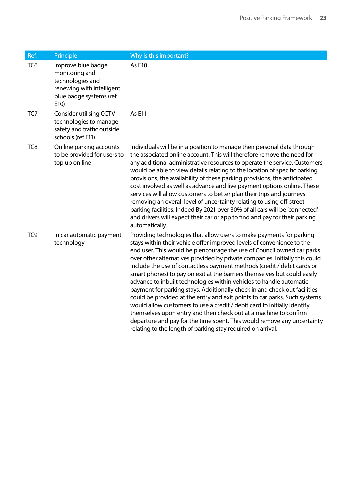| Ref:            | Principle                                                                                                               | Why is this important?                                                                                                                                                                                                                                                                                                                                                                                                                                                                                                                                                                                                                                                                                                                                                                                                                                                                                                                                                                    |
|-----------------|-------------------------------------------------------------------------------------------------------------------------|-------------------------------------------------------------------------------------------------------------------------------------------------------------------------------------------------------------------------------------------------------------------------------------------------------------------------------------------------------------------------------------------------------------------------------------------------------------------------------------------------------------------------------------------------------------------------------------------------------------------------------------------------------------------------------------------------------------------------------------------------------------------------------------------------------------------------------------------------------------------------------------------------------------------------------------------------------------------------------------------|
| TC <sub>6</sub> | Improve blue badge<br>monitoring and<br>technologies and<br>renewing with intelligent<br>blue badge systems (ref<br>E10 | <b>As E10</b>                                                                                                                                                                                                                                                                                                                                                                                                                                                                                                                                                                                                                                                                                                                                                                                                                                                                                                                                                                             |
| TC7             | Consider utilising CCTV<br>technologies to manage<br>safety and traffic outside<br>schools (ref E11)                    | <b>As E11</b>                                                                                                                                                                                                                                                                                                                                                                                                                                                                                                                                                                                                                                                                                                                                                                                                                                                                                                                                                                             |
| TC <sub>8</sub> | On line parking accounts<br>to be provided for users to<br>top up on line                                               | Individuals will be in a position to manage their personal data through<br>the associated online account. This will therefore remove the need for<br>any additional administrative resources to operate the service. Customers<br>would be able to view details relating to the location of specific parking<br>provisions, the availability of these parking provisions, the anticipated<br>cost involved as well as advance and live payment options online. These<br>services will allow customers to better plan their trips and journeys<br>removing an overall level of uncertainty relating to using off-street<br>parking facilities. Indeed By 2021 over 30% of all cars will be 'connected'<br>and drivers will expect their car or app to find and pay for their parking<br>automatically.                                                                                                                                                                                     |
| TC <sub>9</sub> | In car automatic payment<br>technology                                                                                  | Providing technologies that allow users to make payments for parking<br>stays within their vehicle offer improved levels of convenience to the<br>end user. This would help encourage the use of Council owned car parks<br>over other alternatives provided by private companies. Initially this could<br>include the use of contactless payment methods (credit / debit cards or<br>smart phones) to pay on exit at the barriers themselves but could easily<br>advance to inbuilt technologies within vehicles to handle automatic<br>payment for parking stays. Additionally check in and check out facilities<br>could be provided at the entry and exit points to car parks. Such systems<br>would allow customers to use a credit / debit card to initially identify<br>themselves upon entry and then check out at a machine to confirm<br>departure and pay for the time spent. This would remove any uncertainty<br>relating to the length of parking stay required on arrival. |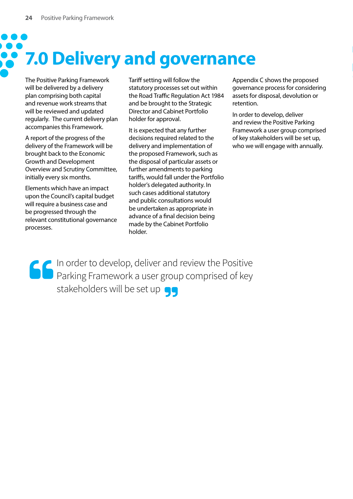# **7.0 Delivery and governance**

The Positive Parking Framework will be delivered by a delivery plan comprising both capital and revenue work streams that will be reviewed and updated regularly. The current delivery plan accompanies this Framework.

A report of the progress of the delivery of the Framework will be brought back to the Economic Growth and Development Overview and Scrutiny Committee, initially every six months.

Elements which have an impact upon the Council's capital budget will require a business case and be progressed through the relevant constitutional governance processes.

Tariff setting will follow the statutory processes set out within the Road Traffic Regulation Act 1984 and be brought to the Strategic Director and Cabinet Portfolio holder for approval.

It is expected that any further decisions required related to the delivery and implementation of the proposed Framework, such as the disposal of particular assets or further amendments to parking tariffs, would fall under the Portfolio holder's delegated authority. In such cases additional statutory and public consultations would be undertaken as appropriate in advance of a final decision being made by the Cabinet Portfolio holder.

Appendix C shows the proposed governance process for considering assets for disposal, devolution or retention.

In order to develop, deliver and review the Positive Parking Framework a user group comprised of key stakeholders will be set up, who we will engage with annually.

In order to develop, deliver and review the Positive Parking Framework a user group comprised of key stakeholders will be set up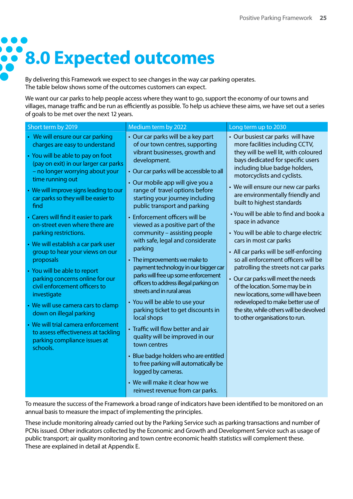### **8.0 Expected outcomes**

By delivering this Framework we expect to see changes in the way car parking operates. The table below shows some of the outcomes customers can expect.

We want our car parks to help people access where they want to go, support the economy of our towns and villages, manage traffic and be run as efficiently as possible. To help us achieve these aims, we have set out a series of goals to be met over the next 12 years.

| Short term by 2019                                                                                                                                                                                                                                | Medium term by 2022                                                                                                                                                                                                                        | Long term up to 2030                                                                                                                                                                                                                                    |
|---------------------------------------------------------------------------------------------------------------------------------------------------------------------------------------------------------------------------------------------------|--------------------------------------------------------------------------------------------------------------------------------------------------------------------------------------------------------------------------------------------|---------------------------------------------------------------------------------------------------------------------------------------------------------------------------------------------------------------------------------------------------------|
| • We will ensure our car parking<br>charges are easy to understand<br>• You will be able to pay on foot<br>(pay on exit) in our larger car parks<br>- no longer worrying about your<br>time running out<br>• We will improve signs leading to our | • Our car parks will be a key part<br>of our town centres, supporting<br>vibrant businesses, growth and<br>development.<br>• Our car parks will be accessible to all<br>• Our mobile app will give you a<br>range of travel options before | • Our busiest car parks will have<br>more facilities including CCTV,<br>they will be well lit, with coloured<br>bays dedicated for specific users<br>including blue badge holders,<br>motorcyclists and cyclists.<br>• We will ensure our new car parks |
| car parks so they will be easier to<br>find                                                                                                                                                                                                       | starting your journey including<br>public transport and parking                                                                                                                                                                            | are environmentally friendly and<br>built to highest standards                                                                                                                                                                                          |
| • Carers will find it easier to park<br>on-street even where there are                                                                                                                                                                            | • Enforcement officers will be<br>viewed as a positive part of the                                                                                                                                                                         | • You will be able to find and book a<br>space in advance                                                                                                                                                                                               |
| parking restrictions.<br>• We will establish a car park user                                                                                                                                                                                      | community - assisting people<br>with safe, legal and considerate<br>parking                                                                                                                                                                | • You will be able to charge electric<br>cars in most car parks                                                                                                                                                                                         |
| group to hear your views on our<br>proposals                                                                                                                                                                                                      | • The improvements we make to<br>payment technology in our bigger car                                                                                                                                                                      | • All car parks will be self-enforcing<br>so all enforcement officers will be<br>patrolling the streets not car parks                                                                                                                                   |
| • You will be able to report<br>parking concerns online for our<br>civil enforcement officers to<br>investigate                                                                                                                                   | parks will free up some enforcement<br>officers to address illegal parking on<br>streets and in rural areas                                                                                                                                | • Our car parks will meet the needs<br>of the location. Some may be in<br>new locations, some will have been                                                                                                                                            |
| • We will use camera cars to clamp<br>down on illegal parking                                                                                                                                                                                     | • You will be able to use your<br>parking ticket to get discounts in<br>local shops                                                                                                                                                        | redeveloped to make better use of<br>the site, while others will be devolved<br>to other organisations to run.                                                                                                                                          |
| • We will trial camera enforcement<br>to assess effectiveness at tackling<br>parking compliance issues at<br>schools.                                                                                                                             | • Traffic will flow better and air<br>quality will be improved in our<br>town centres                                                                                                                                                      |                                                                                                                                                                                                                                                         |
|                                                                                                                                                                                                                                                   | • Blue badge holders who are entitled<br>to free parking will automatically be<br>logged by cameras.                                                                                                                                       |                                                                                                                                                                                                                                                         |
|                                                                                                                                                                                                                                                   | • We will make it clear how we<br>reinvest revenue from car parks.                                                                                                                                                                         |                                                                                                                                                                                                                                                         |

To measure the success of the Framework a broad range of indicators have been identified to be monitored on an annual basis to measure the impact of implementing the principles.

These include monitoring already carried out by the Parking Service such as parking transactions and number of PCNs issued. Other indicators collected by the Economic and Growth and Development Service such as usage of public transport; air quality monitoring and town centre economic health statistics will complement these. These are explained in detail at Appendix E.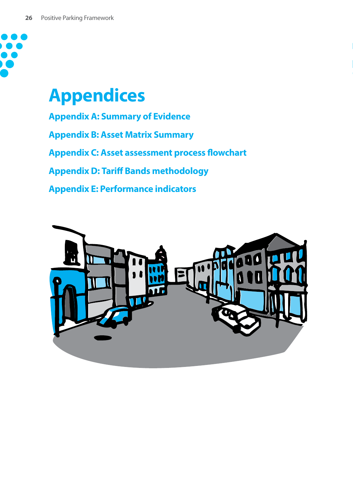

## **Appendices**

**Appendix A: Summary of Evidence Appendix B: Asset Matrix Summary Appendix C: Asset assessment process flowchart Appendix D: Tariff Bands methodology Appendix E: Performance indicators**

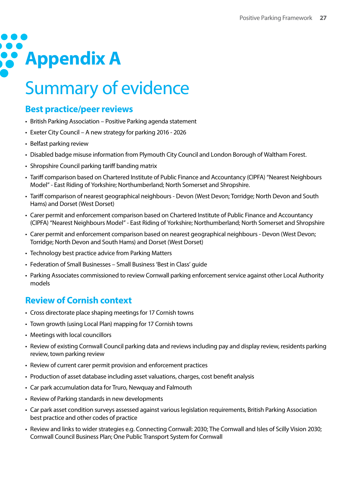

## Summary of evidence

#### **Best practice/peer reviews**

- British Parking Association Positive Parking agenda statement
- Exeter City Council A new strategy for parking 2016 2026
- Belfast parking review
- Disabled badge misuse information from Plymouth City Council and London Borough of Waltham Forest.
- Shropshire Council parking tariff banding matrix
- Tariff comparison based on Chartered Institute of Public Finance and Accountancy (CIPFA) "Nearest Neighbours Model" - East Riding of Yorkshire; Northumberland; North Somerset and Shropshire.
- Tariff comparison of nearest geographical neighbours Devon (West Devon; Torridge; North Devon and South Hams) and Dorset (West Dorset)
- Carer permit and enforcement comparison based on Chartered Institute of Public Finance and Accountancy (CIPFA) "Nearest Neighbours Model" - East Riding of Yorkshire; Northumberland; North Somerset and Shropshire
- Carer permit and enforcement comparison based on nearest geographical neighbours Devon (West Devon; Torridge; North Devon and South Hams) and Dorset (West Dorset)
- Technology best practice advice from Parking Matters
- Federation of Small Businesses Small Business 'Best in Class' guide
- Parking Associates commissioned to review Cornwall parking enforcement service against other Local Authority models

#### **Review of Cornish context**

- Cross directorate place shaping meetings for 17 Cornish towns
- Town growth (using Local Plan) mapping for 17 Cornish towns
- Meetings with local councillors
- Review of existing Cornwall Council parking data and reviews including pay and display review, residents parking review, town parking review
- Review of current carer permit provision and enforcement practices
- Production of asset database including asset valuations, charges, cost benefit analysis
- Car park accumulation data for Truro, Newquay and Falmouth
- Review of Parking standards in new developments
- Car park asset condition surveys assessed against various legislation requirements, British Parking Association best practice and other codes of practice
- Review and links to wider strategies e.g. Connecting Cornwall: 2030; The Cornwall and Isles of Scilly Vision 2030; Cornwall Council Business Plan; One Public Transport System for Cornwall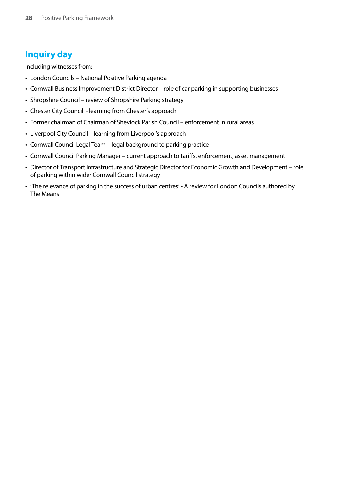#### **Inquiry day**

Including witnesses from:

- London Councils National Positive Parking agenda
- Cornwall Business Improvement District Director role of car parking in supporting businesses
- Shropshire Council review of Shropshire Parking strategy
- Chester City Council learning from Chester's approach
- Former chairman of Chairman of Sheviock Parish Council enforcement in rural areas
- Liverpool City Council learning from Liverpool's approach
- Cornwall Council Legal Team legal background to parking practice
- Cornwall Council Parking Manager current approach to tariffs, enforcement, asset management
- Director of Transport Infrastructure and Strategic Director for Economic Growth and Development role of parking within wider Cornwall Council strategy
- 'The relevance of parking in the success of urban centres' A review for London Councils authored by The Means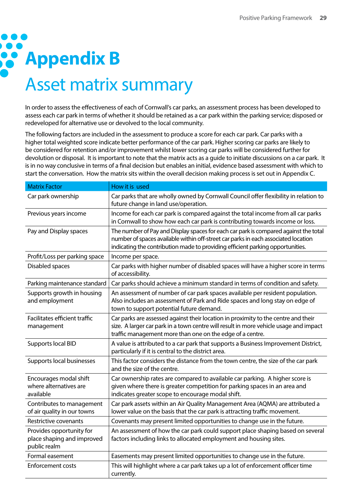## $\bullet$ **Appendix B** Asset matrix summary

In order to assess the effectiveness of each of Cornwall's car parks, an assessment process has been developed to assess each car park in terms of whether it should be retained as a car park within the parking service; disposed or redeveloped for alternative use or devolved to the local community.

The following factors are included in the assessment to produce a score for each car park. Car parks with a higher total weighted score indicate better performance of the car park. Higher scoring car parks are likely to be considered for retention and/or improvement whilst lower scoring car parks will be considered further for devolution or disposal. It is important to note that the matrix acts as a guide to initiate discussions on a car park. It is in no way conclusive in terms of a final decision but enables an initial, evidence based assessment with which to start the conversation. How the matrix sits within the overall decision making process is set out in Appendix C.

| <b>Matrix Factor</b>                                                   | How it is used                                                                                                                                                                                                                                               |
|------------------------------------------------------------------------|--------------------------------------------------------------------------------------------------------------------------------------------------------------------------------------------------------------------------------------------------------------|
| Car park ownership                                                     | Car parks that are wholly owned by Cornwall Council offer flexibility in relation to<br>future change in land use/operation.                                                                                                                                 |
| Previous years income                                                  | Income for each car park is compared against the total income from all car parks<br>in Cornwall to show how each car park is contributing towards income or loss.                                                                                            |
| Pay and Display spaces                                                 | The number of Pay and Display spaces for each car park is compared against the total<br>number of spaces available within off-street car parks in each associated location<br>indicating the contribution made to providing efficient parking opportunities. |
| Profit/Loss per parking space                                          | Income per space.                                                                                                                                                                                                                                            |
| Disabled spaces                                                        | Car parks with higher number of disabled spaces will have a higher score in terms<br>of accessibility.                                                                                                                                                       |
| Parking maintenance standard                                           | Car parks should achieve a minimum standard in terms of condition and safety.                                                                                                                                                                                |
| Supports growth in housing<br>and employment                           | An assessment of number of car park spaces available per resident population.<br>Also includes an assessment of Park and Ride spaces and long stay on edge of<br>town to support potential future demand.                                                    |
| <b>Facilitates efficient traffic</b><br>management                     | Car parks are assessed against their location in proximity to the centre and their<br>size. A larger car park in a town centre will result in more vehicle usage and impact<br>traffic management more than one on the edge of a centre.                     |
| Supports local BID                                                     | A value is attributed to a car park that supports a Business Improvement District,<br>particularly if it is central to the district area.                                                                                                                    |
| Supports local businesses                                              | This factor considers the distance from the town centre, the size of the car park<br>and the size of the centre.                                                                                                                                             |
| Encourages modal shift<br>where alternatives are<br>available          | Car ownership rates are compared to available car parking. A higher score is<br>given where there is greater competition for parking spaces in an area and<br>indicates greater scope to encourage modal shift.                                              |
| Contributes to management<br>of air quality in our towns               | Car park assets within an Air Quality Management Area (AQMA) are attributed a<br>lower value on the basis that the car park is attracting traffic movement.                                                                                                  |
| Restrictive covenants                                                  | Covenants may present limited opportunities to change use in the future.                                                                                                                                                                                     |
| Provides opportunity for<br>place shaping and improved<br>public realm | An assessment of how the car park could support place shaping based on several<br>factors including links to allocated employment and housing sites.                                                                                                         |
| Formal easement                                                        | Easements may present limited opportunities to change use in the future.                                                                                                                                                                                     |
| Enforcement costs                                                      | This will highlight where a car park takes up a lot of enforcement officer time<br>currently.                                                                                                                                                                |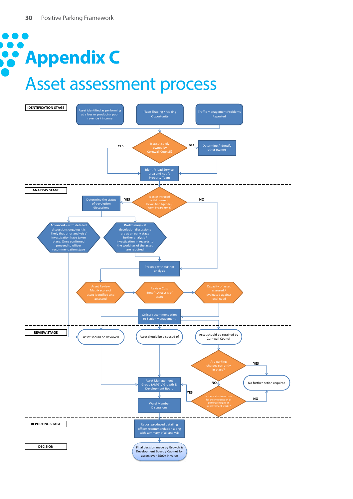## $\bullet$ **Appendix C**  Asset assessment process

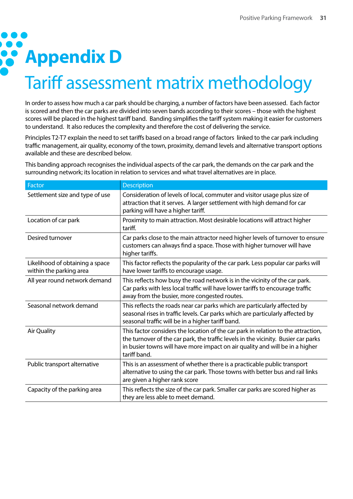

## Tariff assessment matrix methodology

In order to assess how much a car park should be charging, a number of factors have been assessed. Each factor is scored and then the car parks are divided into seven bands according to their scores – those with the highest scores will be placed in the highest tariff band. Banding simplifies the tariff system making it easier for customers to understand. It also reduces the complexity and therefore the cost of delivering the service.

Principles T2-T7 explain the need to set tariffs based on a broad range of factors linked to the car park including traffic management, air quality, economy of the town, proximity, demand levels and alternative transport options available and these are described below.

This banding approach recognises the individual aspects of the car park, the demands on the car park and the surrounding network; its location in relation to services and what travel alternatives are in place.

| Factor                                                     | Description                                                                                                                                                                                                                                                             |  |
|------------------------------------------------------------|-------------------------------------------------------------------------------------------------------------------------------------------------------------------------------------------------------------------------------------------------------------------------|--|
| Settlement size and type of use                            | Consideration of levels of local, commuter and visitor usage plus size of<br>attraction that it serves. A larger settlement with high demand for car<br>parking will have a higher tariff.                                                                              |  |
| Location of car park                                       | Proximity to main attraction. Most desirable locations will attract higher<br>tariff.                                                                                                                                                                                   |  |
| Desired turnover                                           | Car parks close to the main attractor need higher levels of turnover to ensure<br>customers can always find a space. Those with higher turnover will have<br>higher tariffs.                                                                                            |  |
| Likelihood of obtaining a space<br>within the parking area | This factor reflects the popularity of the car park. Less popular car parks will<br>have lower tariffs to encourage usage.                                                                                                                                              |  |
| All year round network demand                              | This reflects how busy the road network is in the vicinity of the car park.<br>Car parks with less local traffic will have lower tariffs to encourage traffic<br>away from the busier, more congested routes.                                                           |  |
| Seasonal network demand                                    | This reflects the roads near car parks which are particularly affected by<br>seasonal rises in traffic levels. Car parks which are particularly affected by<br>seasonal traffic will be in a higher tariff band.                                                        |  |
| <b>Air Quality</b>                                         | This factor considers the location of the car park in relation to the attraction,<br>the turnover of the car park, the traffic levels in the vicinity. Busier car parks<br>in busier towns will have more impact on air quality and will be in a higher<br>tariff band. |  |
| Public transport alternative                               | This is an assessment of whether there is a practicable public transport<br>alternative to using the car park. Those towns with better bus and rail links<br>are given a higher rank score                                                                              |  |
| Capacity of the parking area                               | This reflects the size of the car park. Smaller car parks are scored higher as<br>they are less able to meet demand.                                                                                                                                                    |  |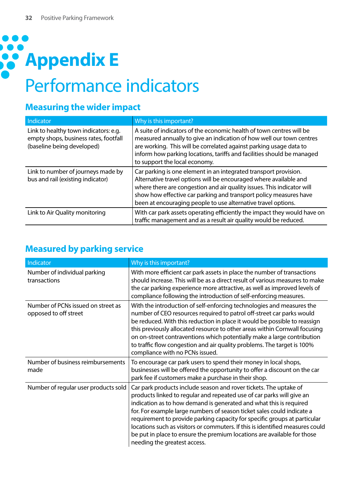

## Performance indicators

#### **Measuring the wider impact**

| Indicator                                                                                                    | Why is this important?                                                                                                                                                                                                                                                                                                                                |
|--------------------------------------------------------------------------------------------------------------|-------------------------------------------------------------------------------------------------------------------------------------------------------------------------------------------------------------------------------------------------------------------------------------------------------------------------------------------------------|
| Link to healthy town indicators: e.g.<br>empty shops, business rates, footfall<br>(baseline being developed) | A suite of indicators of the economic health of town centres will be<br>measured annually to give an indication of how well our town centres<br>are working. This will be correlated against parking usage data to<br>inform how parking locations, tariffs and facilities should be managed<br>to support the local economy.                         |
| Link to number of journeys made by<br>bus and rail (existing indicator)                                      | Car parking is one element in an integrated transport provision.<br>Alternative travel options will be encouraged where available and<br>where there are congestion and air quality issues. This indicator will<br>show how effective car parking and transport policy measures have<br>been at encouraging people to use alternative travel options. |
| Link to Air Quality monitoring                                                                               | With car park assets operating efficiently the impact they would have on<br>traffic management and as a result air quality would be reduced.                                                                                                                                                                                                          |

#### **Measured by parking service**

| Indicator                                                   | Why is this important?                                                                                                                                                                                                                                                                                                                                                                                                                                                                                                                                              |
|-------------------------------------------------------------|---------------------------------------------------------------------------------------------------------------------------------------------------------------------------------------------------------------------------------------------------------------------------------------------------------------------------------------------------------------------------------------------------------------------------------------------------------------------------------------------------------------------------------------------------------------------|
| Number of individual parking<br>transactions                | With more efficient car park assets in place the number of transactions<br>should increase. This will be as a direct result of various measures to make<br>the car parking experience more attractive, as well as improved levels of<br>compliance following the introduction of self-enforcing measures.                                                                                                                                                                                                                                                           |
| Number of PCNs issued on street as<br>opposed to off street | With the introduction of self-enforcing technologies and measures the<br>number of CEO resources required to patrol off-street car parks would<br>be reduced. With this reduction in place it would be possible to reassign<br>this previously allocated resource to other areas within Cornwall focusing<br>on on-street contraventions which potentially make a large contribution<br>to traffic flow congestion and air quality problems. The target is 100%<br>compliance with no PCNs issued.                                                                  |
| Number of business reimbursements<br>made                   | To encourage car park users to spend their money in local shops,<br>businesses will be offered the opportunity to offer a discount on the car<br>park fee if customers make a purchase in their shop.                                                                                                                                                                                                                                                                                                                                                               |
| Number of regular user products sold                        | Car park products include season and rover tickets. The uptake of<br>products linked to regular and repeated use of car parks will give an<br>indication as to how demand is generated and what this is required<br>for. For example large numbers of season ticket sales could indicate a<br>requirement to provide parking capacity for specific groups at particular<br>locations such as visitors or commuters. If this is identified measures could<br>be put in place to ensure the premium locations are available for those<br>needing the greatest access. |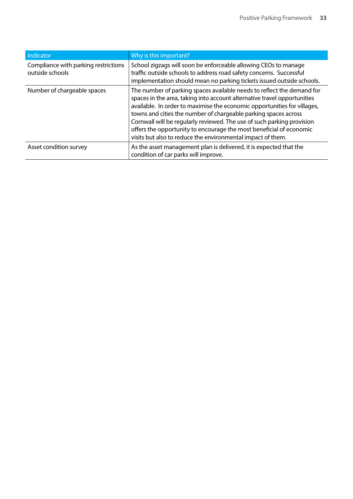| Indicator                                               | Why is this important?                                                                                                                                                                                                                                                                                                                                                                                                                                                                                            |
|---------------------------------------------------------|-------------------------------------------------------------------------------------------------------------------------------------------------------------------------------------------------------------------------------------------------------------------------------------------------------------------------------------------------------------------------------------------------------------------------------------------------------------------------------------------------------------------|
| Compliance with parking restrictions<br>outside schools | School zigzags will soon be enforceable allowing CEOs to manage<br>traffic outside schools to address road safety concerns. Successful<br>implementation should mean no parking tickets issued outside schools.                                                                                                                                                                                                                                                                                                   |
| Number of chargeable spaces                             | The number of parking spaces available needs to reflect the demand for<br>spaces in the area, taking into account alternative travel opportunities<br>available. In order to maximise the economic opportunities for villages,<br>towns and cities the number of chargeable parking spaces across<br>Cornwall will be regularly reviewed. The use of such parking provision<br>offers the opportunity to encourage the most beneficial of economic<br>visits but also to reduce the environmental impact of them. |
| Asset condition survey                                  | As the asset management plan is delivered, it is expected that the<br>condition of car parks will improve.                                                                                                                                                                                                                                                                                                                                                                                                        |